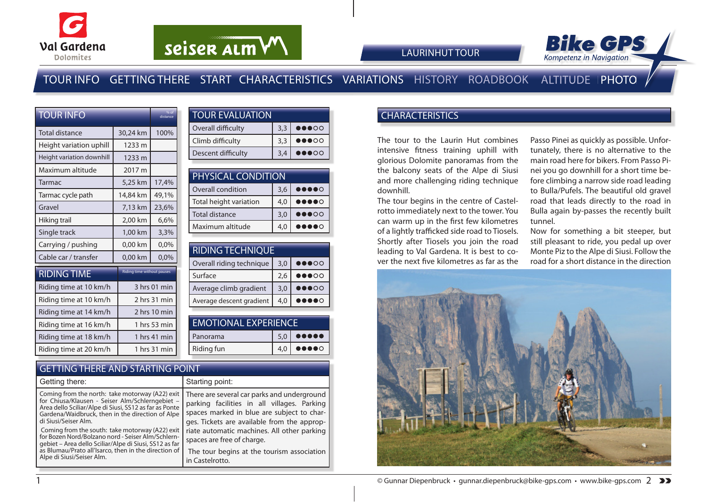



# TOUR INFO GETTING THERE START CHARACTERISTICS VARIATIONS HISTORY ROADBOOK ALTITUDE PHOTO

| <b>TOUR INFO</b>          | % of<br>distance           |              |  |
|---------------------------|----------------------------|--------------|--|
| Total distance            | 30,24 km                   | 100%         |  |
| Height variation uphill   | 1233 m                     |              |  |
| Height variation downhill | 1233 m                     |              |  |
| Maximum altitude          | 2017 m                     |              |  |
| Tarmac                    | 5,25 km                    | 17,4%        |  |
| Tarmac cycle path         | 14,84 km                   | 49,1%        |  |
| Gravel                    | 7,13 km                    | 23,6%        |  |
| Hiking trail              | 2,00 km                    | 6,6%         |  |
| Single track              | 1,00 km                    | 3,3%         |  |
| Carrying / pushing        | 0,00 km                    | 0,0%         |  |
| Cable car / transfer      | 0,00 km                    | 0,0%         |  |
| <b>RIDING TIME</b>        | Riding time without pauses |              |  |
| Riding time at 10 km/h    | 3 hrs 01 min               |              |  |
| Riding time at 10 km/h    | 2 hrs 31 min               |              |  |
| Riding time at 14 km/h    | 2 hrs 10 min               |              |  |
| Riding time at 16 km/h    |                            | 1 hrs 53 min |  |
| Riding time at 18 km/h    |                            | 1 hrs 41 min |  |
| Riding time at 20 km/h    |                            | 1 hrs 31 min |  |

| <b>TOUR EVALUATION</b> |     |                                   |
|------------------------|-----|-----------------------------------|
| Overall difficulty     | 3.3 | $\bullet\bullet\bullet\circ\circ$ |
| Climb difficulty       | 3,3 | $\bullet\bullet\bullet\circ\circ$ |
| Descent difficulty     | 3.4 | $\bullet\bullet\bullet\circ\circ$ |

| PHYSICAL CONDITION       |     |                                                                        |
|--------------------------|-----|------------------------------------------------------------------------|
| <b>Overall condition</b> | 3,6 | $\begin{array}{cc} \bullet\bullet\bullet\bullet\circ\circ \end{array}$ |
| Total height variation   | 4,0 | $\bullet\bullet\bullet\circ$                                           |
| Total distance           | 3,0 | $\bullet\bullet\bullet\circ\circ$                                      |
| Maximum altitude         | 4,0 |                                                                        |

| <b>RIDING TECHNIQUE</b>  |     |                                   |
|--------------------------|-----|-----------------------------------|
| Overall riding technique | 3.0 | $\bullet\bullet\bullet\circ\circ$ |
| Surface                  | 2,6 | $\bullet\bullet\bullet\circ\circ$ |
| Average climb gradient   | 3,0 | $\bullet\bullet\bullet\circ\circ$ |
| Average descent gradient | 4.0 |                                   |

| <b>EMOTIONAL EXPERIENCE</b> |     |                                                                                  |
|-----------------------------|-----|----------------------------------------------------------------------------------|
| Panorama                    | 5,0 | $\begin{array}{ccc} \bullet & \bullet & \bullet & \bullet & \bullet \end{array}$ |
| Riding fun                  |     | $\bullet\bullet\bullet\bullet\circ$                                              |

### GETTING THERE AND STARTING POINT

| Getting there:                                                                                                                                                                                                                                      | Starting point:                                                                                                                                                                         |
|-----------------------------------------------------------------------------------------------------------------------------------------------------------------------------------------------------------------------------------------------------|-----------------------------------------------------------------------------------------------------------------------------------------------------------------------------------------|
| Coming from the north: take motorway (A22) exit<br>for Chiusa/Klausen - Seiser Alm/Schlerngebiet -<br>Area dello Sciliar/Alpe di Siusi, SS12 as far as Ponte<br>Gardena/Waidbruck, then in the direction of Alpe<br>di Siusi/Seiser Alm.            | There are several car parks and underground<br>parking facilities in all villages. Parking<br>spaces marked in blue are subject to char-<br>ges. Tickets are available from the approp- |
| Coming from the south: take motorway (A22) exit<br>for Bozen Nord/Bolzano nord - Seiser Alm/Schlern-<br>gebiet - Area dello Sciliar/Alpe di Siusi, SS12 as far<br>as Blumau/Prato all'Isarco, then in the direction of<br>Alpe di Siusi/Seiser Alm. | riate automatic machines. All other parking<br>spaces are free of charge.<br>The tour begins at the tourism association<br>in Castelrotto.                                              |

## **CHARACTERISTICS**

LAURINHUT TOUR

The tour to the Laurin Hut combines intensive fitness training uphill with glorious Dolomite panoramas from the the balcony seats of the Alpe di Siusi and more challenging riding technique downhill.

The tour begins in the centre of Castelrotto immediately next to the tower. You can warm up in the first few kilometres of a lightly trafficked side road to Tiosels. Shortly after Tiosels you join the road leading to Val Gardena. It is best to cover the next five kilometres as far as the

Passo Pinei as quickly as possible. Unfortunately, there is no alternative to the main road here for bikers. From Passo Pinei you go downhill for a short time before climbing a narrow side road leading to Bulla/Pufels. The beautiful old gravel road that leads directly to the road in Bulla again by-passes the recently built tunnel.

Now for something a bit steeper, but still pleasant to ride, you pedal up over Monte Piz to the Alpe di Siusi. Follow the road for a short distance in the direction